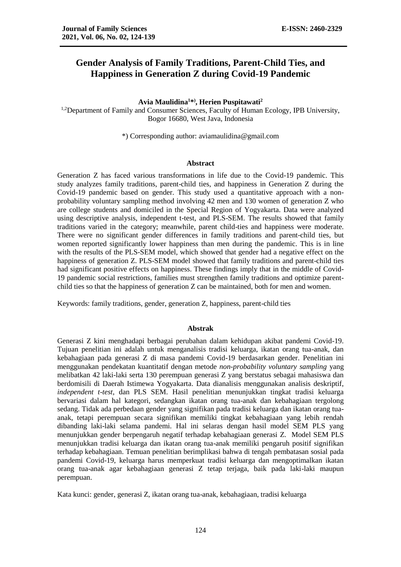# **Gender Analysis of Family Traditions, Parent-Child Ties, and Happiness in Generation Z during Covid-19 Pandemic**

**Avia Maulidina<sup>1</sup>\* ) , Herien Puspitawati<sup>2</sup>**

<sup>1,2</sup>Department of Family and Consumer Sciences, Faculty of Human Ecology, IPB University, Bogor 16680, West Java, Indonesia

\*) Corresponding author: aviamaulidina@gmail.com

#### **Abstract**

Generation Z has faced various transformations in life due to the Covid-19 pandemic. This study analyzes family traditions, parent-child ties, and happiness in Generation Z during the Covid-19 pandemic based on gender. This study used a quantitative approach with a nonprobability voluntary sampling method involving 42 men and 130 women of generation Z who are college students and domiciled in the Special Region of Yogyakarta. Data were analyzed using descriptive analysis, independent t-test, and PLS-SEM. The results showed that family traditions varied in the category; meanwhile, parent child-ties and happiness were moderate. There were no significant gender differences in family traditions and parent-child ties, but women reported significantly lower happiness than men during the pandemic. This is in line with the results of the PLS-SEM model, which showed that gender had a negative effect on the happiness of generation Z. PLS-SEM model showed that family traditions and parent-child ties had significant positive effects on happiness. These findings imply that in the middle of Covid-19 pandemic social restrictions, families must strengthen family traditions and optimize parentchild ties so that the happiness of generation Z can be maintained, both for men and women.

Keywords: family traditions, gender, generation Z, happiness, parent-child ties

#### **Abstrak**

Generasi Z kini menghadapi berbagai perubahan dalam kehidupan akibat pandemi Covid-19. Tujuan penelitian ini adalah untuk menganalisis tradisi keluarga, ikatan orang tua-anak, dan kebahagiaan pada generasi Z di masa pandemi Covid-19 berdasarkan gender. Penelitian ini menggunakan pendekatan kuantitatif dengan metode *non-probability voluntary sampling* yang melibatkan 42 laki-laki serta 130 perempuan generasi Z yang berstatus sebagai mahasiswa dan berdomisili di Daerah Istimewa Yogyakarta. Data dianalisis menggunakan analisis deskriptif, *independent t-test*, dan PLS SEM. Hasil penelitian menunjukkan tingkat tradisi keluarga bervariasi dalam hal kategori, sedangkan ikatan orang tua-anak dan kebahagiaan tergolong sedang. Tidak ada perbedaan gender yang signifikan pada tradisi keluarga dan ikatan orang tuaanak, tetapi perempuan secara signifikan memiliki tingkat kebahagiaan yang lebih rendah dibanding laki-laki selama pandemi. Hal ini selaras dengan hasil model SEM PLS yang menunjukkan gender berpengaruh negatif terhadap kebahagiaan generasi Z. Model SEM PLS menunjukkan tradisi keluarga dan ikatan orang tua-anak memiliki pengaruh positif signifikan terhadap kebahagiaan. Temuan penelitian berimplikasi bahwa di tengah pembatasan sosial pada pandemi Covid-19, keluarga harus memperkuat tradisi keluarga dan mengoptimalkan ikatan orang tua-anak agar kebahagiaan generasi Z tetap terjaga, baik pada laki-laki maupun perempuan.

Kata kunci: gender, generasi Z, ikatan orang tua-anak, kebahagiaan, tradisi keluarga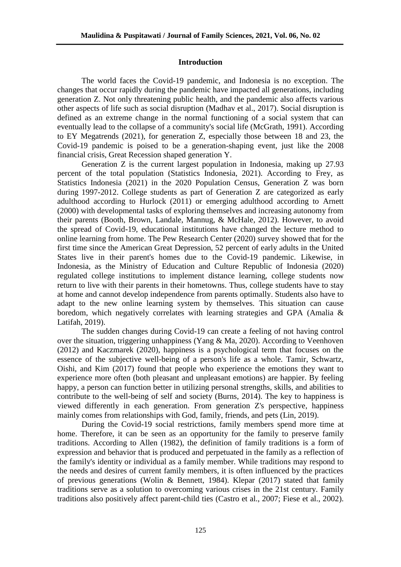# **Introduction**

The world faces the Covid-19 pandemic, and Indonesia is no exception. The changes that occur rapidly during the pandemic have impacted all generations, including generation Z. Not only threatening public health, and the pandemic also affects various other aspects of life such as social disruption (Madhav et al., 2017). Social disruption is defined as an extreme change in the normal functioning of a social system that can eventually lead to the collapse of a community's social life (McGrath, 1991). According to EY Megatrends (2021), for generation Z, especially those between 18 and 23, the Covid-19 pandemic is poised to be a generation-shaping event, just like the 2008 financial crisis, Great Recession shaped generation Y.

Generation Z is the current largest population in Indonesia, making up 27.93 percent of the total population (Statistics Indonesia, 2021). According to Frey, as Statistics Indonesia (2021) in the 2020 Population Census, Generation Z was born during 1997-2012. College students as part of Generation Z are categorized as early adulthood according to Hurlock (2011) or emerging adulthood according to Arnett (2000) with developmental tasks of exploring themselves and increasing autonomy from their parents (Booth, Brown, Landale, Mannug, & McHale, 2012). However, to avoid the spread of Covid-19, educational institutions have changed the lecture method to online learning from home. The Pew Research Center (2020) survey showed that for the first time since the American Great Depression, 52 percent of early adults in the United States live in their parent's homes due to the Covid-19 pandemic. Likewise, in Indonesia, as the Ministry of Education and Culture Republic of Indonesia (2020) regulated college institutions to implement distance learning, college students now return to live with their parents in their hometowns. Thus, college students have to stay at home and cannot develop independence from parents optimally. Students also have to adapt to the new online learning system by themselves. This situation can cause boredom, which negatively correlates with learning strategies and GPA (Amalia & Latifah, 2019).

The sudden changes during Covid-19 can create a feeling of not having control over the situation, triggering unhappiness (Yang & Ma, 2020). According to Veenhoven (2012) and Kaczmarek (2020), happiness is a psychological term that focuses on the essence of the subjective well-being of a person's life as a whole. Tamir, Schwartz, Oishi, and Kim (2017) found that people who experience the emotions they want to experience more often (both pleasant and unpleasant emotions) are happier. By feeling happy, a person can function better in utilizing personal strengths, skills, and abilities to contribute to the well-being of self and society (Burns, 2014). The key to happiness is viewed differently in each generation. From generation Z's perspective, happiness mainly comes from relationships with God, family, friends, and pets (Lin, 2019).

During the Covid-19 social restrictions, family members spend more time at home. Therefore, it can be seen as an opportunity for the family to preserve family traditions. According to Allen (1982), the definition of family traditions is a form of expression and behavior that is produced and perpetuated in the family as a reflection of the family's identity or individual as a family member. While traditions may respond to the needs and desires of current family members, it is often influenced by the practices of previous generations (Wolin & Bennett, 1984). Klepar (2017) stated that family traditions serve as a solution to overcoming various crises in the 21st century. Family traditions also positively affect parent-child ties (Castro et al., 2007; Fiese et al., 2002).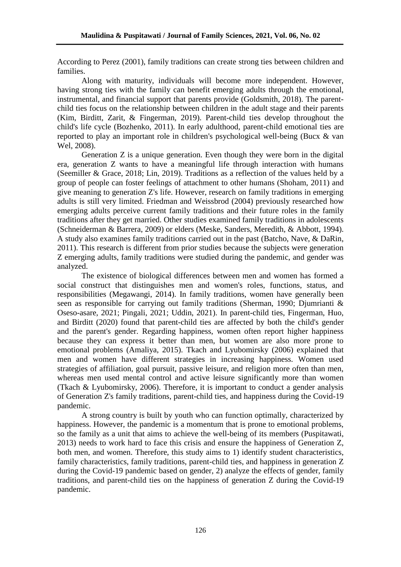According to Perez (2001), family traditions can create strong ties between children and families.

Along with maturity, individuals will become more independent. However, having strong ties with the family can benefit emerging adults through the emotional, instrumental, and financial support that parents provide (Goldsmith, 2018). The parentchild ties focus on the relationship between children in the adult stage and their parents (Kim, Birditt, Zarit, & Fingerman, 2019). Parent-child ties develop throughout the child's life cycle (Bozhenko, 2011). In early adulthood, parent-child emotional ties are reported to play an important role in children's psychological well-being (Bucx & van Wel, 2008).

Generation Z is a unique generation. Even though they were born in the digital era, generation Z wants to have a meaningful life through interaction with humans (Seemiller & Grace, 2018; Lin, 2019). Traditions as a reflection of the values held by a group of people can foster feelings of attachment to other humans (Shoham, 2011) and give meaning to generation Z's life. However, research on family traditions in emerging adults is still very limited. Friedman and Weissbrod (2004) previously researched how emerging adults perceive current family traditions and their future roles in the family traditions after they get married. Other studies examined family traditions in adolescents (Schneiderman & Barrera, 2009) or elders (Meske, Sanders, Meredith, & Abbott, 1994). A study also examines family traditions carried out in the past (Batcho, Nave, & DaRin, 2011). This research is different from prior studies because the subjects were generation Z emerging adults, family traditions were studied during the pandemic, and gender was analyzed.

The existence of biological differences between men and women has formed a social construct that distinguishes men and women's roles, functions, status, and responsibilities (Megawangi, 2014). In family traditions, women have generally been seen as responsible for carrying out family traditions (Sherman, 1990; Djumrianti & Oseso-asare, 2021; Pingali, 2021; Uddin, 2021). In parent-child ties, Fingerman, Huo, and Birditt (2020) found that parent-child ties are affected by both the child's gender and the parent's gender. Regarding happiness, women often report higher happiness because they can express it better than men, but women are also more prone to emotional problems (Amaliya, 2015). Tkach and Lyubomirsky (2006) explained that men and women have different strategies in increasing happiness. Women used strategies of affiliation, goal pursuit, passive leisure, and religion more often than men, whereas men used mental control and active leisure significantly more than women (Tkach & Lyubomirsky, 2006). Therefore, it is important to conduct a gender analysis of Generation Z's family traditions, parent-child ties, and happiness during the Covid-19 pandemic.

A strong country is built by youth who can function optimally, characterized by happiness. However, the pandemic is a momentum that is prone to emotional problems, so the family as a unit that aims to achieve the well-being of its members (Puspitawati, 2013) needs to work hard to face this crisis and ensure the happiness of Generation Z, both men, and women. Therefore, this study aims to 1) identify student characteristics, family characteristics, family traditions, parent-child ties, and happiness in generation Z during the Covid-19 pandemic based on gender, 2) analyze the effects of gender, family traditions, and parent-child ties on the happiness of generation Z during the Covid-19 pandemic.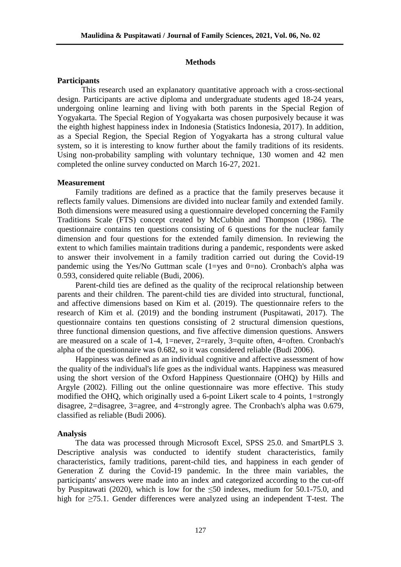# **Methods**

## **Participants**

This research used an explanatory quantitative approach with a cross-sectional design. Participants are active diploma and undergraduate students aged 18-24 years, undergoing online learning and living with both parents in the Special Region of Yogyakarta. The Special Region of Yogyakarta was chosen purposively because it was the eighth highest happiness index in Indonesia (Statistics Indonesia, 2017). In addition, as a Special Region, the Special Region of Yogyakarta has a strong cultural value system, so it is interesting to know further about the family traditions of its residents. Using non-probability sampling with voluntary technique, 130 women and 42 men completed the online survey conducted on March 16-27, 2021.

#### **Measurement**

Family traditions are defined as a practice that the family preserves because it reflects family values. Dimensions are divided into nuclear family and extended family. Both dimensions were measured using a questionnaire developed concerning the Family Traditions Scale (FTS) concept created by McCubbin and Thompson (1986). The questionnaire contains ten questions consisting of 6 questions for the nuclear family dimension and four questions for the extended family dimension. In reviewing the extent to which families maintain traditions during a pandemic, respondents were asked to answer their involvement in a family tradition carried out during the Covid-19 pandemic using the Yes/No Guttman scale (1=yes and 0=no). Cronbach's alpha was 0.593, considered quite reliable (Budi, 2006).

Parent-child ties are defined as the quality of the reciprocal relationship between parents and their children. The parent-child ties are divided into structural, functional, and affective dimensions based on Kim et al. (2019). The questionnaire refers to the research of Kim et al. (2019) and the bonding instrument (Puspitawati, 2017). The questionnaire contains ten questions consisting of 2 structural dimension questions, three functional dimension questions, and five affective dimension questions. Answers are measured on a scale of 1-4, 1=never, 2=rarely, 3=quite often, 4=often. Cronbach's alpha of the questionnaire was 0.682, so it was considered reliable (Budi 2006).

Happiness was defined as an individual cognitive and affective assessment of how the quality of the individual's life goes as the individual wants. Happiness was measured using the short version of the Oxford Happiness Questionnaire (OHQ) by Hills and Argyle (2002). Filling out the online questionnaire was more effective. This study modified the OHQ, which originally used a 6-point Likert scale to 4 points, 1=strongly disagree, 2=disagree, 3=agree, and 4=strongly agree. The Cronbach's alpha was 0.679, classified as reliable (Budi 2006).

#### **Analysis**

The data was processed through Microsoft Excel, SPSS 25.0. and SmartPLS 3. Descriptive analysis was conducted to identify student characteristics, family characteristics, family traditions, parent-child ties, and happiness in each gender of Generation Z during the Covid-19 pandemic. In the three main variables, the participants' answers were made into an index and categorized according to the cut-off by Puspitawati (2020), which is low for the  $\leq 50$  indexes, medium for 50.1-75.0, and high for ≥75.1. Gender differences were analyzed using an independent T-test. The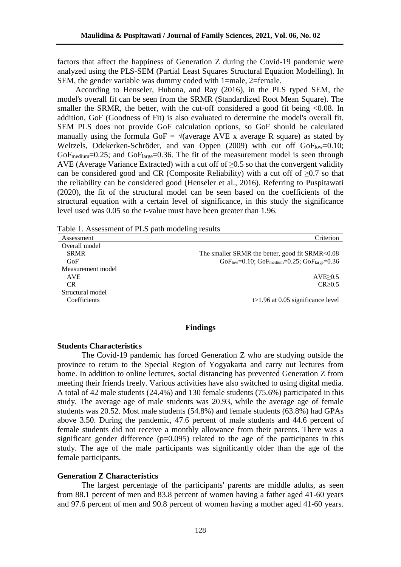factors that affect the happiness of Generation Z during the Covid-19 pandemic were analyzed using the PLS-SEM (Partial Least Squares Structural Equation Modelling). In SEM, the gender variable was dummy coded with 1=male, 2=female.

According to Henseler, Hubona, and Ray (2016), in the PLS typed SEM, the model's overall fit can be seen from the SRMR (Standardized Root Mean Square). The smaller the SRMR, the better, with the cut-off considered a good fit being  $\langle 0.08$ . In addition, GoF (Goodness of Fit) is also evaluated to determine the model's overall fit. SEM PLS does not provide GoF calculation options, so GoF should be calculated manually using the formula GoF =  $\sqrt{ }$  (average AVE x average R square) as stated by Weltzels, Odekerken-Schröder, and van Oppen  $(2009)$  with cut off Go $F_{low}=0.10$ ;  $GoF_{medium}=0.25$ ; and  $GoF_{large}=0.36$ . The fit of the measurement model is seen through AVE (Average Variance Extracted) with a cut off of  $\geq 0.5$  so that the convergent validity can be considered good and CR (Composite Reliability) with a cut off of  $\geq 0.7$  so that the reliability can be considered good (Henseler et al., 2016). Referring to Puspitawati (2020), the fit of the structural model can be seen based on the coefficients of the structural equation with a certain level of significance, in this study the significance level used was 0.05 so the t-value must have been greater than 1.96.

Table 1. Assessment of PLS path modeling results

| Assessment        | Criterion                                                   |
|-------------------|-------------------------------------------------------------|
| Overall model     |                                                             |
| <b>SRMR</b>       | The smaller SRMR the better, good fit SRMR<0.08             |
| GoF               | $GoF_{low}=0.10$ ; $GoF_{medium}=0.25$ ; $GoF_{large}=0.36$ |
| Measurement model |                                                             |
| <b>AVE</b>        | AVE > 0.5                                                   |
| CR.               | CR > 0.5                                                    |
| Structural model  |                                                             |
| Coefficients      | $\geq$ 1.96 at 0.05 significance level                      |

# **Findings**

# **Students Characteristics**

The Covid-19 pandemic has forced Generation Z who are studying outside the province to return to the Special Region of Yogyakarta and carry out lectures from home. In addition to online lectures, social distancing has prevented Generation Z from meeting their friends freely. Various activities have also switched to using digital media. A total of 42 male students (24.4%) and 130 female students (75.6%) participated in this study. The average age of male students was 20.93, while the average age of female students was 20.52. Most male students (54.8%) and female students (63.8%) had GPAs above 3.50. During the pandemic, 47.6 percent of male students and 44.6 percent of female students did not receive a monthly allowance from their parents. There was a significant gender difference  $(p=0.095)$  related to the age of the participants in this study. The age of the male participants was significantly older than the age of the female participants.

## **Generation Z Characteristics**

The largest percentage of the participants' parents are middle adults, as seen from 88.1 percent of men and 83.8 percent of women having a father aged 41-60 years and 97.6 percent of men and 90.8 percent of women having a mother aged 41-60 years.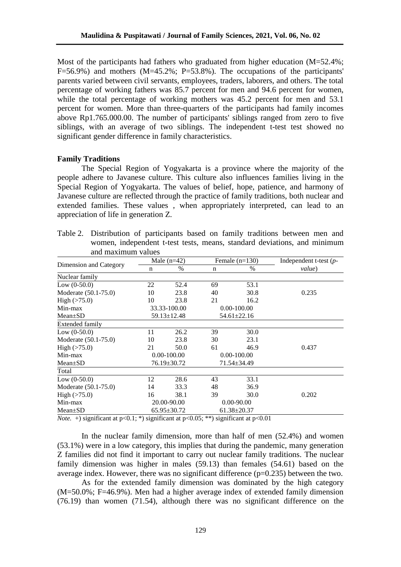Most of the participants had fathers who graduated from higher education  $(M=52.4\%)$ ;  $F=56.9\%$ ) and mothers (M=45.2%; P=53.8%). The occupations of the participants' parents varied between civil servants, employees, traders, laborers, and others. The total percentage of working fathers was 85.7 percent for men and 94.6 percent for women, while the total percentage of working mothers was 45.2 percent for men and 53.1 percent for women. More than three-quarters of the participants had family incomes above Rp1.765.000.00. The number of participants' siblings ranged from zero to five siblings, with an average of two siblings. The independent t-test test showed no significant gender difference in family characteristics.

## **Family Traditions**

The Special Region of Yogyakarta is a province where the majority of the people adhere to Javanese culture. This culture also influences families living in the Special Region of Yogyakarta. The values of belief, hope, patience, and harmony of Javanese culture are reflected through the practice of family traditions, both nuclear and extended families. These values , when appropriately interpreted, can lead to an appreciation of life in generation Z.

| Table 2. Distribution of participants based on family traditions between men and |
|----------------------------------------------------------------------------------|
| women, independent t-test tests, means, standard deviations, and minimum         |
| and maximum values                                                               |

|                                                                                                    | Male $(n=42)$ |                   | Female $(n=130)$                         |                   | Independent t-test $(p-$ |
|----------------------------------------------------------------------------------------------------|---------------|-------------------|------------------------------------------|-------------------|--------------------------|
| Dimension and Category                                                                             | n             | $\%$              | n                                        | $\frac{0}{0}$     | value)                   |
| Nuclear family                                                                                     |               |                   |                                          |                   |                          |
| Low $(0-50.0)$                                                                                     | 22            | 52.4              | 69                                       | 53.1              |                          |
| Moderate (50.1-75.0)                                                                               | 10            | 23.8              | 40                                       | 30.8              | 0.235                    |
| High $(>75.0)$                                                                                     | 10            | 23.8              | 21                                       | 16.2              |                          |
| Min-max                                                                                            |               | 33.33-100.00      |                                          | $0.00 - 100.00$   |                          |
| Mean±SD                                                                                            |               | $59.13 \pm 12.48$ |                                          | $54.61 \pm 22.16$ |                          |
| <b>Extended family</b>                                                                             |               |                   |                                          |                   |                          |
| Low $(0-50.0)$                                                                                     | 11            | 26.2              | 39                                       | 30.0              |                          |
| Moderate (50.1-75.0)                                                                               | 10            | 23.8              | 30                                       | 23.1              |                          |
| High $($ >75.0)                                                                                    | 21            | 50.0              | 61                                       | 46.9              | 0.437                    |
| Min-max                                                                                            |               | $0.00 - 100.00$   | $0.00 - 100.00$                          |                   |                          |
| $Mean \pm SD$                                                                                      |               | $76.19 \pm 30.72$ |                                          | 71.54±34.49       |                          |
| Total                                                                                              |               |                   |                                          |                   |                          |
| Low $(0-50.0)$                                                                                     | 12            | 28.6              | 43                                       | 33.1              |                          |
| Moderate (50.1-75.0)                                                                               | 14            | 33.3              | 48                                       | 36.9              |                          |
| High $($ >75.0)                                                                                    | 16            | 38.1              | 39                                       | 30.0              | 0.202                    |
| Min-max                                                                                            |               | 20.00-90.00       | $0.00 - 90.00$                           |                   |                          |
| $Mean \pm SD$<br>$\cdot$ $\sim$<br>$\mathbf{v}$ and $\mathbf{v}$ and $\mathbf{v}$ and $\mathbf{v}$ | $0.1 - 4$     | $65.95 \pm 30.72$ | $61.38 \pm 20.37$<br>$\Omega$ $\Omega$ 1 |                   |                          |

*Note.* + significant at  $p<0.1$ ; \*) significant at  $p<0.05$ ; \*\*) significant at  $p<0.01$ 

In the nuclear family dimension, more than half of men (52.4%) and women (53.1%) were in a low category, this implies that during the pandemic, many generation Z families did not find it important to carry out nuclear family traditions. The nuclear family dimension was higher in males (59.13) than females (54.61) based on the average index. However, there was no significant difference  $(p=0.235)$  between the two.

As for the extended family dimension was dominated by the high category (M=50.0%; F=46.9%). Men had a higher average index of extended family dimension (76.19) than women (71.54), although there was no significant difference on the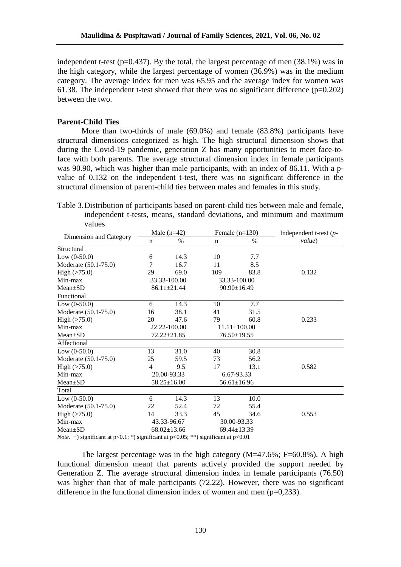independent t-test ( $p=0.437$ ). By the total, the largest percentage of men (38.1%) was in the high category, while the largest percentage of women (36.9%) was in the medium category. The average index for men was 65.95 and the average index for women was 61.38. The independent t-test showed that there was no significant difference  $(p=0.202)$ between the two.

# **Parent-Child Ties**

More than two-thirds of male (69.0%) and female (83.8%) participants have structural dimensions categorized as high. The high structural dimension shows that during the Covid-19 pandemic, generation Z has many opportunities to meet face-toface with both parents. The average structural dimension index in female participants was 90.90, which was higher than male participants, with an index of 86.11. With a pvalue of 0.132 on the independent t-test, there was no significant difference in the structural dimension of parent-child ties between males and females in this study.

Table 3.Distribution of participants based on parent-child ties between male and female, independent t-tests, means, standard deviations, and minimum and maximum values

|                        | Male $(n=42)$ |                   | Female $(n=130)$ |                    | Independent t-test $(p-$ |
|------------------------|---------------|-------------------|------------------|--------------------|--------------------------|
| Dimension and Category | n             | $\%$              | n                | $\frac{0}{0}$      | value)                   |
| Structural             |               |                   |                  |                    |                          |
| Low $(0-50.0)$         | 6             | 14.3              | 10               | 7.7                |                          |
| Moderate (50.1-75.0)   | 7             | 16.7              | 11               | 8.5                |                          |
| High $(>75.0)$         | 29            | 69.0              | 109              | 83.8               | 0.132                    |
| Min-max                |               | 33.33-100.00      |                  | 33.33-100.00       |                          |
| Mean±SD                |               | $86.11 \pm 21.44$ |                  | $90.90 \pm 16.49$  |                          |
| Functional             |               |                   |                  |                    |                          |
| Low $(0-50.0)$         | 6             | 14.3              | 10               | 7.7                |                          |
| Moderate (50.1-75.0)   | 16            | 38.1              | 41               | 31.5               |                          |
| High $(>75.0)$         | 20            | 47.6              | 79               | 60.8               | 0.233                    |
| Min-max                |               | 22.22-100.00      |                  | $11.11 \pm 100.00$ |                          |
| $Mean \pm SD$          |               | 72.22±21.85       |                  | 76.50±19.55        |                          |
| Affectional            |               |                   |                  |                    |                          |
| Low $(0-50.0)$         | 13            | 31.0              | 40               | 30.8               |                          |
| Moderate (50.1-75.0)   | 25            | 59.5              | 73               | 56.2               |                          |
| High $($ >75.0)        | 4             | 9.5               | 17               | 13.1               | 0.582                    |
| Min-max                |               | 20.00-93.33       |                  | 6.67-93.33         |                          |
| $Mean \pm SD$          |               | $58.25 \pm 16.00$ |                  | $56.61 \pm 16.96$  |                          |
| Total                  |               |                   |                  |                    |                          |
| Low $(0-50.0)$         | 6             | 14.3              | 13               | 10.0               |                          |
| Moderate (50.1-75.0)   | 22            | 52.4              | 72               | 55.4               |                          |
| High $(>75.0)$         | 14            | 33.3              | 45               | 34.6               | 0.553                    |
| Min-max                |               | 43.33-96.67       |                  | 30.00-93.33        |                          |
| $Mean \pm SD$          |               | $68.02 \pm 13.66$ | $\cdot$ $\sim$   | 69.44±13.39        |                          |

*Note.* +) significant at p<0.1; \*) significant at p<0.05; \*\*) significant at p<0.01

The largest percentage was in the high category  $(M=47.6\%; F=60.8\%)$ . A high functional dimension meant that parents actively provided the support needed by Generation Z. The average structural dimension index in female participants (76.50) was higher than that of male participants (72.22). However, there was no significant difference in the functional dimension index of women and men  $(p=0.233)$ .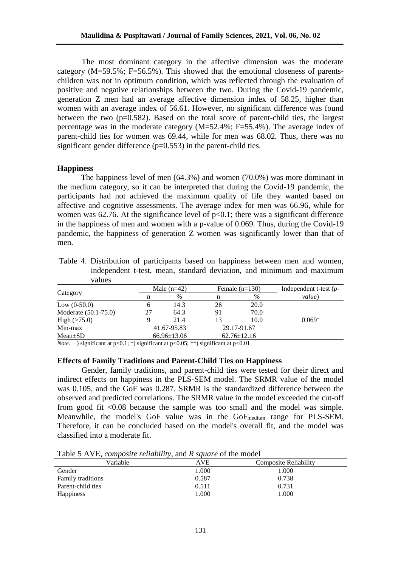The most dominant category in the affective dimension was the moderate category  $(M=59.5\%; F=56.5\%)$ . This showed that the emotional closeness of parentschildren was not in optimum condition, which was reflected through the evaluation of positive and negative relationships between the two. During the Covid-19 pandemic, generation Z men had an average affective dimension index of 58.25, higher than women with an average index of 56.61. However, no significant difference was found between the two  $(p=0.582)$ . Based on the total score of parent-child ties, the largest percentage was in the moderate category (M=52.4%; F=55.4%). The average index of parent-child ties for women was 69.44, while for men was 68.02. Thus, there was no significant gender difference  $(p=0.553)$  in the parent-child ties.

## **Happiness**

The happiness level of men (64.3%) and women (70.0%) was more dominant in the medium category, so it can be interpreted that during the Covid-19 pandemic, the participants had not achieved the maximum quality of life they wanted based on affective and cognitive assessments. The average index for men was 66.96, while for women was 62.76. At the significance level of  $p<0.1$ ; there was a significant difference in the happiness of men and women with a p-value of 0.069. Thus, during the Covid-19 pandemic, the happiness of generation Z women was significantly lower than that of men.

Table 4. Distribution of participants based on happiness between men and women, independent t-test, mean, standard deviation, and minimum and maximum values

|                      |    | Male $(n=42)$     | Female $(n=130)$ |                   | Independent t-test $(p-$ |  |
|----------------------|----|-------------------|------------------|-------------------|--------------------------|--|
| Category             | n  | $\%$              | n                | %                 | value)                   |  |
| Low $(0-50.0)$       | n  | 14.3              | 26               | 20.0              |                          |  |
| Moderate (50.1-75.0) | 27 | 64.3              | 91               | 70.0              |                          |  |
| High $($ >75.0)      |    | 21.4              | 13               | 10.0              | $0.069^{+}$              |  |
| Min-max              |    | 41.67-95.83       |                  | 29.17-91.67       |                          |  |
| $Mean \pm SD$        |    | $66.96 \pm 13.06$ |                  | $62.76 \pm 12.16$ |                          |  |

*Note.* +) significant at  $p<0.1$ ; \*) significant at  $p<0.05$ ; \*\*) significant at  $p<0.01$ 

## **Effects of Family Traditions and Parent-Child Ties on Happiness**

Gender, family traditions, and parent-child ties were tested for their direct and indirect effects on happiness in the PLS-SEM model. The SRMR value of the model was 0.105, and the GoF was 0.287. SRMR is the standardized difference between the observed and predicted correlations. The SRMR value in the model exceeded the cut-off from good fit <0.08 because the sample was too small and the model was simple. Meanwhile, the model's GoF value was in the GoF<sub>medium</sub> range for PLS-SEM. Therefore, it can be concluded based on the model's overall fit, and the model was classified into a moderate fit.

| Table 5 AVE, <i>composite reliability</i> , and <i>R square</i> of the model |  |  |  |
|------------------------------------------------------------------------------|--|--|--|
|                                                                              |  |  |  |

| Tuble 5 TV H, composite removing, and it square of the model |            |                              |  |  |
|--------------------------------------------------------------|------------|------------------------------|--|--|
| Variable                                                     | <b>AVE</b> | <b>Composite Reliability</b> |  |  |
| Gender                                                       | 1.000      | 1.000                        |  |  |
| <b>Family traditions</b>                                     | 0.587      | 0.738                        |  |  |
| Parent-child ties                                            | 0.511      | 0.731                        |  |  |
| <b>Happiness</b>                                             | .000       | .000                         |  |  |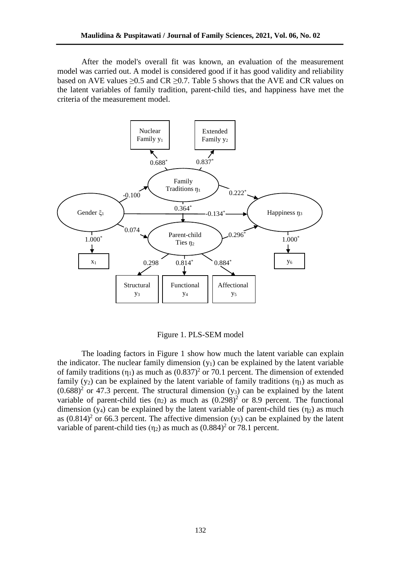After the model's overall fit was known, an evaluation of the measurement model was carried out. A model is considered good if it has good validity and reliability based on AVE values  $\geq 0.5$  and CR  $\geq 0.7$ . Table 5 shows that the AVE and CR values on the latent variables of family tradition, parent-child ties, and happiness have met the criteria of the measurement model.



Figure 1. PLS-SEM model

The loading factors in Figure 1 show how much the latent variable can explain the indicator. The nuclear family dimension  $(y_1)$  can be explained by the latent variable of family traditions  $(\eta_1)$  as much as  $(0.837)^2$  or 70.1 percent. The dimension of extended family (y<sub>2</sub>) can be explained by the latent variable of family traditions ( $\eta_1$ ) as much as  $(0.688)^2$  or 47.3 percent. The structural dimension  $(y_3)$  can be explained by the latent variable of parent-child ties  $(n_2)$  as much as  $(0.298)^2$  or 8.9 percent. The functional dimension (y<sub>4</sub>) can be explained by the latent variable of parent-child ties ( $\eta_2$ ) as much as  $(0.814)^2$  or 66.3 percent. The affective dimension  $(y_5)$  can be explained by the latent variable of parent-child ties  $(\eta_2)$  as much as  $(0.884)^2$  or 78.1 percent.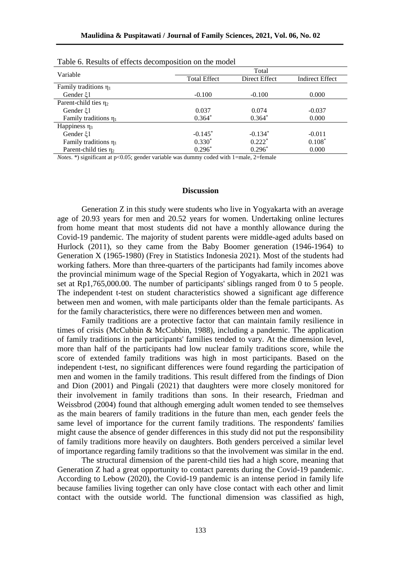| Variable                   | Total               |               |                        |  |  |
|----------------------------|---------------------|---------------|------------------------|--|--|
|                            | <b>Total Effect</b> | Direct Effect | <b>Indirect Effect</b> |  |  |
| Family traditions $\eta_1$ |                     |               |                        |  |  |
| Gender $\xi$ 1             | $-0.100$            | $-0.100$      | 0.000                  |  |  |
| Parent-child ties $\eta_2$ |                     |               |                        |  |  |
| Gender ξ1                  | 0.037               | 0.074         | $-0.037$               |  |  |
| Family traditions $\eta_1$ | $0.364*$            | $0.364*$      | 0.000                  |  |  |
| Happiness $\eta_3$         |                     |               |                        |  |  |
| Gender ξ1                  | $-0.145^*$          | $-0.134*$     | $-0.011$               |  |  |
| Family traditions $\eta_1$ | $0.330*$            | $0.222*$      | $0.108*$               |  |  |
| Parent-child ties $\eta_2$ | $0.296*$            | $0.296*$      | 0.000                  |  |  |

| Table 6. Results of effects decomposition on the model |  |
|--------------------------------------------------------|--|
|--------------------------------------------------------|--|

*Notes*. \*) significant at p<0.05; gender variable was dummy coded with 1=male, 2=female

#### **Discussion**

Generation Z in this study were students who live in Yogyakarta with an average age of 20.93 years for men and 20.52 years for women. Undertaking online lectures from home meant that most students did not have a monthly allowance during the Covid-19 pandemic. The majority of student parents were middle-aged adults based on Hurlock (2011), so they came from the Baby Boomer generation (1946-1964) to Generation X (1965-1980) (Frey in Statistics Indonesia 2021). Most of the students had working fathers. More than three-quarters of the participants had family incomes above the provincial minimum wage of the Special Region of Yogyakarta, which in 2021 was set at Rp1,765,000.00. The number of participants' siblings ranged from 0 to 5 people. The independent t-test on student characteristics showed a significant age difference between men and women, with male participants older than the female participants. As for the family characteristics, there were no differences between men and women.

Family traditions are a protective factor that can maintain family resilience in times of crisis (McCubbin & McCubbin, 1988), including a pandemic. The application of family traditions in the participants' families tended to vary. At the dimension level, more than half of the participants had low nuclear family traditions score, while the score of extended family traditions was high in most participants. Based on the independent t-test, no significant differences were found regarding the participation of men and women in the family traditions. This result differed from the findings of Dion and Dion (2001) and Pingali (2021) that daughters were more closely monitored for their involvement in family traditions than sons. In their research, Friedman and Weissbrod (2004) found that although emerging adult women tended to see themselves as the main bearers of family traditions in the future than men, each gender feels the same level of importance for the current family traditions. The respondents' families might cause the absence of gender differences in this study did not put the responsibility of family traditions more heavily on daughters. Both genders perceived a similar level of importance regarding family traditions so that the involvement was similar in the end.

The structural dimension of the parent-child ties had a high score, meaning that Generation Z had a great opportunity to contact parents during the Covid-19 pandemic. According to Lebow (2020), the Covid-19 pandemic is an intense period in family life because families living together can only have close contact with each other and limit contact with the outside world. The functional dimension was classified as high,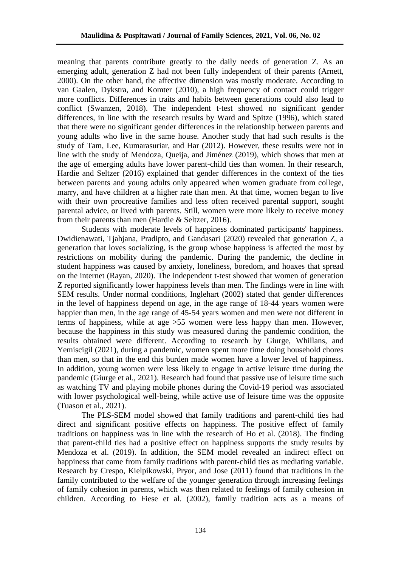meaning that parents contribute greatly to the daily needs of generation Z. As an emerging adult, generation Z had not been fully independent of their parents (Arnett, 2000). On the other hand, the affective dimension was mostly moderate. According to van Gaalen, Dykstra, and Komter (2010), a high frequency of contact could trigger more conflicts. Differences in traits and habits between generations could also lead to conflict (Swanzen, 2018). The independent t-test showed no significant gender differences, in line with the research results by Ward and Spitze (1996), which stated that there were no significant gender differences in the relationship between parents and young adults who live in the same house. Another study that had such results is the study of Tam, Lee, Kumarasuriar, and Har (2012). However, these results were not in line with the study of Mendoza, Queija, and Jiménez (2019), which shows that men at the age of emerging adults have lower parent-child ties than women. In their research, Hardie and Seltzer (2016) explained that gender differences in the context of the ties between parents and young adults only appeared when women graduate from college, marry, and have children at a higher rate than men. At that time, women began to live with their own procreative families and less often received parental support, sought parental advice, or lived with parents. Still, women were more likely to receive money from their parents than men (Hardie & Seltzer, 2016).

Students with moderate levels of happiness dominated participants' happiness. Dwidienawati, Tjahjana, Pradipto, and Gandasari (2020) revealed that generation Z, a generation that loves socializing, is the group whose happiness is affected the most by restrictions on mobility during the pandemic. During the pandemic, the decline in student happiness was caused by anxiety, loneliness, boredom, and hoaxes that spread on the internet (Rayan, 2020). The independent t-test showed that women of generation Z reported significantly lower happiness levels than men. The findings were in line with SEM results. Under normal conditions, Inglehart (2002) stated that gender differences in the level of happiness depend on age, in the age range of 18-44 years women were happier than men, in the age range of 45-54 years women and men were not different in terms of happiness, while at age >55 women were less happy than men. However, because the happiness in this study was measured during the pandemic condition, the results obtained were different. According to research by Giurge, Whillans, and Yemiscigil (2021), during a pandemic, women spent more time doing household chores than men, so that in the end this burden made women have a lower level of happiness. In addition, young women were less likely to engage in active leisure time during the pandemic (Giurge et al., 2021). Research had found that passive use of leisure time such as watching TV and playing mobile phones during the Covid-19 period was associated with lower psychological well-being, while active use of leisure time was the opposite (Tuason et al., 2021).

The PLS-SEM model showed that family traditions and parent-child ties had direct and significant positive effects on happiness. The positive effect of family traditions on happiness was in line with the research of Ho et al. (2018). The finding that parent-child ties had a positive effect on happiness supports the study results by Mendoza et al. (2019). In addition, the SEM model revealed an indirect effect on happiness that came from family traditions with parent-child ties as mediating variable. Research by Crespo, Kielpikowski, Pryor, and Jose (2011) found that traditions in the family contributed to the welfare of the younger generation through increasing feelings of family cohesion in parents, which was then related to feelings of family cohesion in children. According to Fiese et al. (2002), family tradition acts as a means of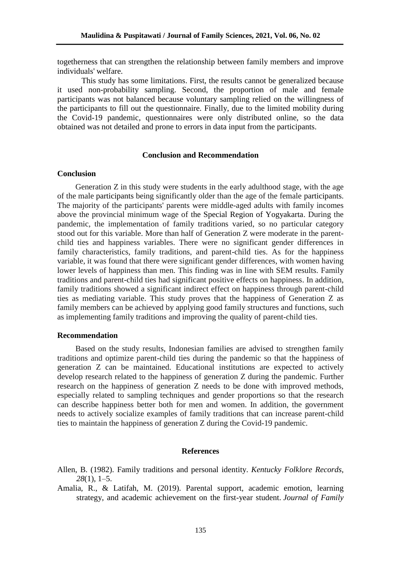togetherness that can strengthen the relationship between family members and improve individuals' welfare.

This study has some limitations. First, the results cannot be generalized because it used non-probability sampling. Second, the proportion of male and female participants was not balanced because voluntary sampling relied on the willingness of the participants to fill out the questionnaire. Finally, due to the limited mobility during the Covid-19 pandemic, questionnaires were only distributed online, so the data obtained was not detailed and prone to errors in data input from the participants.

# **Conclusion and Recommendation**

# **Conclusion**

Generation Z in this study were students in the early adulthood stage, with the age of the male participants being significantly older than the age of the female participants. The majority of the participants' parents were middle-aged adults with family incomes above the provincial minimum wage of the Special Region of Yogyakarta. During the pandemic, the implementation of family traditions varied, so no particular category stood out for this variable. More than half of Generation Z were moderate in the parentchild ties and happiness variables. There were no significant gender differences in family characteristics, family traditions, and parent-child ties. As for the happiness variable, it was found that there were significant gender differences, with women having lower levels of happiness than men. This finding was in line with SEM results. Family traditions and parent-child ties had significant positive effects on happiness. In addition, family traditions showed a significant indirect effect on happiness through parent-child ties as mediating variable. This study proves that the happiness of Generation Z as family members can be achieved by applying good family structures and functions, such as implementing family traditions and improving the quality of parent-child ties.

## **Recommendation**

Based on the study results, Indonesian families are advised to strengthen family traditions and optimize parent-child ties during the pandemic so that the happiness of generation Z can be maintained. Educational institutions are expected to actively develop research related to the happiness of generation Z during the pandemic. Further research on the happiness of generation Z needs to be done with improved methods, especially related to sampling techniques and gender proportions so that the research can describe happiness better both for men and women. In addition, the government needs to actively socialize examples of family traditions that can increase parent-child ties to maintain the happiness of generation Z during the Covid-19 pandemic.

#### **References**

- Allen, B. (1982). Family traditions and personal identity. *Kentucky Folklore Records, 28*(1), 1–5.
- Amalia, R., & Latifah, M. (2019). Parental support, academic emotion, learning strategy, and academic achievement on the first-year student. *Journal of Family*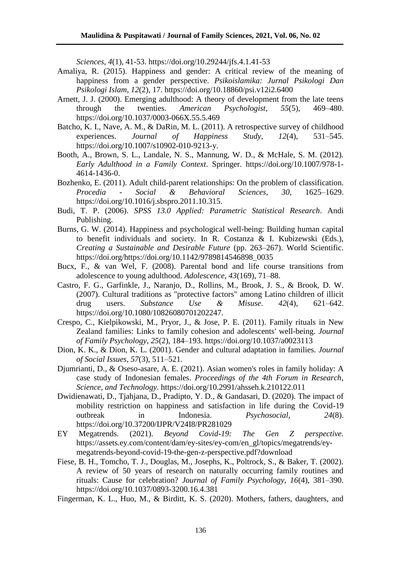*Sciences*, *4*(1), 41-53. https://doi.org/10.29244/jfs.4.1.41-53

- Amaliya, R. (2015). Happiness and gender: A critical review of the meaning of happiness from a gender perspective. *Psikoislamika: Jurnal Psikologi Dan Psikologi Islam*, *12*(2), 17. https://doi.org/10.18860/psi.v12i2.6400
- Arnett, J. J. (2000). Emerging adulthood: A theory of development from the late teens through the twenties. *American Psychologist*, *55*(5), 469–480. https://doi.org/10.1037/0003-066X.55.5.469
- Batcho, K. I., Nave, A. M., & DaRin, M. L. (2011). A retrospective survey of childhood experiences. *Journal of Happiness Study, 12*(4), 531–545. https://doi.org/10.1007/s10902-010-9213-y.
- Booth, A., Brown, S. L., Landale, N. S., Mannung, W. D., & McHale, S. M. (2012). *Early Adulthood in a Family Context*. Springer. https://doi.org/10.1007/978-1- 4614-1436-0.
- Bozhenko, E. (2011). Adult child-parent relationships: On the problem of classification. *Procedia - Social & Behavioral Sciences, 30*, 1625–1629. https://doi.org/10.1016/j.sbspro.2011.10.315.
- Budi, T. P. (2006). *SPSS 13.0 Applied: Parametric Statistical Research*. Andi Publishing.
- Burns, G. W. (2014). Happiness and psychological well-being: Building human capital to benefit individuals and society. In R. Costanza & I. Kubizewski (Eds.), *Creating a Sustainable and Desirable Future* (pp. 263–267). World Scientific. https://doi.org/https://doi.org/10.1142/9789814546898\_0035
- Bucx, F., & van Wel, F. (2008). Parental bond and life course transitions from adolescence to young adulthood. *Adolescence*, *43*(169), 71–88.
- Castro, F. G., Garfinkle, J., Naranjo, D., Rollins, M., Brook, J. S., & Brook, D. W. (2007). Cultural traditions as "protective factors" among Latino children of illicit drug users. *Substance Use & Misuse*. *42*(4), 621–642. https://doi.org/10.1080/10826080701202247.
- Crespo, C., Kielpikowski, M., Pryor, J., & Jose, P. E. (2011). Family rituals in New Zealand families: Links to family cohesion and adolescents' well-being. *Journal of Family Psychology*, *25*(2), 184–193. https://doi.org/10.1037/a0023113
- Dion, K. K., & Dion, K. L. (2001). Gender and cultural adaptation in families. *Journal of Social Issues*, *57*(3), 511–521.
- Djumrianti, D., & Oseso-asare, A. E. (2021). Asian women's roles in family holiday: A case study of Indonesian females. *Proceedings of the 4th Forum in Research, Science, and Technology.* https://doi.org/10.2991/ahsseh.k.210122.011
- Dwidienawati, D., Tjahjana, D., Pradipto, Y. D., & Gandasari, D. (2020). The impact of mobility restriction on happiness and satisfaction in life during the Covid-19 outbreak in Indonesia. *Psychosocial*, *24*(8). https://doi.org/10.37200/IJPR/V24I8/PR281029
- EY Megatrends. (2021). *Beyond Covid-19: The Gen Z perspective.*  https://assets.ey.com/content/dam/ey-sites/ey-com/en\_gl/topics/megatrends/eymegatrends-beyond-covid-19-the-gen-z-perspective.pdf?download
- Fiese, B. H., Tomcho, T. J., Douglas, M., Josephs, K., Poltrock, S., & Baker, T. (2002). A review of 50 years of research on naturally occurring family routines and rituals: Cause for celebration? *Journal of Family Psychology*, *16*(4), 381–390. https://doi.org/10.1037/0893-3200.16.4.381
- Fingerman, K. L., Huo, M., & Birditt, K. S. (2020). Mothers, fathers, daughters, and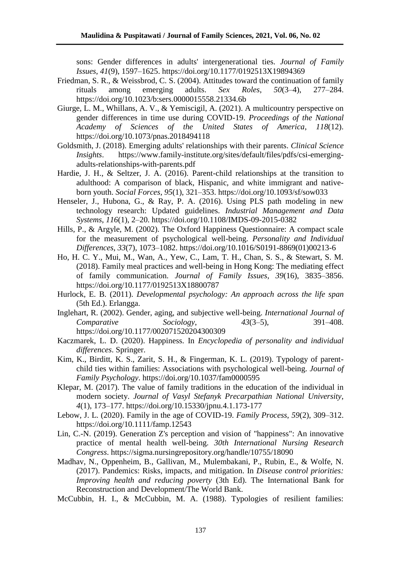sons: Gender differences in adults' intergenerational ties. *Journal of Family Issues*, *41*(9), 1597–1625. https://doi.org/10.1177/0192513X19894369

- Friedman, S. R., & Weissbrod, C. S. (2004). Attitudes toward the continuation of family rituals among emerging adults. *Sex Roles*, *50*(3–4), 277–284. https://doi.org/10.1023/b:sers.0000015558.21334.6b
- Giurge, L. M., Whillans, A. V., & Yemiscigil, A. (2021). A multicountry perspective on gender differences in time use during COVID-19. *Proceedings of the National Academy of Sciences of the United States of America*, *118*(12). https://doi.org/10.1073/pnas.2018494118
- Goldsmith, J. (2018). Emerging adults' relationships with their parents. *Clinical Science Insights*. https://www.family-institute.org/sites/default/files/pdfs/csi-emergingadults-relationships-with-parents.pdf
- Hardie, J. H., & Seltzer, J. A. (2016). Parent-child relationships at the transition to adulthood: A comparison of black, Hispanic, and white immigrant and nativeborn youth. *Social Forces*, *95*(1), 321–353. https://doi.org/10.1093/sf/sow033
- Henseler, J., Hubona, G., & Ray, P. A. (2016). Using PLS path modeling in new technology research: Updated guidelines. *Industrial Management and Data Systems*, *116*(1), 2–20. https://doi.org/10.1108/IMDS-09-2015-0382
- Hills, P., & Argyle, M. (2002). The Oxford Happiness Questionnaire: A compact scale for the measurement of psychological well-being. *Personality and Individual Differences*, *33*(7), 1073–1082. https://doi.org/10.1016/S0191-8869(01)00213-6
- Ho, H. C. Y., Mui, M., Wan, A., Yew, C., Lam, T. H., Chan, S. S., & Stewart, S. M. (2018). Family meal practices and well-being in Hong Kong: The mediating effect of family communication. *Journal of Family Issues*, *39*(16), 3835–3856. https://doi.org/10.1177/0192513X18800787
- Hurlock, E. B. (2011). *Developmental psychology: An approach across the life span*  (5th Ed.). Erlangga.
- Inglehart, R. (2002). Gender, aging, and subjective well-being. *International Journal of Comparative Sociology*, *43*(3–5), 391–408. https://doi.org/10.1177/002071520204300309
- Kaczmarek, L. D. (2020). Happiness. In *Encyclopedia of personality and individual differences*. Springer.
- Kim, K., Birditt, K. S., Zarit, S. H., & Fingerman, K. L. (2019). Typology of parentchild ties within families: Associations with psychological well-being. *Journal of Family Psychology*. https://doi.org/10.1037/fam0000595
- Klepar, M. (2017). The value of family traditions in the education of the individual in modern society. *Journal of Vasyl Stefanyk Precarpathian National University*, *4*(1), 173–177. https://doi.org/10.15330/jpnu.4.1.173-177
- Lebow, J. L. (2020). Family in the age of COVID-19. *Family Process*, *59*(2), 309–312. https://doi.org/10.1111/famp.12543
- Lin, C.-N. (2019). Generation Z's perception and vision of "happiness": An innovative practice of mental health well-being. *30th International Nursing Research Congress*. https://sigma.nursingrepository.org/handle/10755/18090
- Madhav, N., Oppenheim, B., Gallivan, M., Mulembakani, P., Rubin, E., & Wolfe, N. (2017). Pandemics: Risks, impacts, and mitigation. In *Disease control priorities: Improving health and reducing poverty* (3th Ed). The International Bank for Reconstruction and Development/The World Bank.
- McCubbin, H. I., & McCubbin, M. A. (1988). Typologies of resilient families: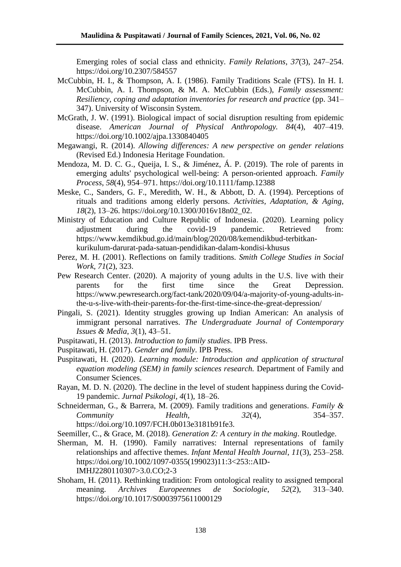Emerging roles of social class and ethnicity. *Family Relations*, *37*(3), 247–254. https://doi.org/10.2307/584557

- McCubbin, H. I., & Thompson, A. I. (1986). Family Traditions Scale (FTS). In H. I. McCubbin, A. I. Thompson, & M. A. McCubbin (Eds.), *Family assessment: Resiliency, coping and adaptation inventories for research and practice* (pp. 341– 347). University of Wisconsin System.
- McGrath, J. W. (1991). Biological impact of social disruption resulting from epidemic disease. *American Journal of Physical Anthropology. 84*(4), 407–419. https://doi.org/10.1002/ajpa.1330840405
- Megawangi, R. (2014). *Allowing differences: A new perspective on gender relations*  (Revised Ed.) Indonesia Heritage Foundation.
- Mendoza, M. D. C. G., Queija, I. S., & Jiménez, Á. P. (2019). The role of parents in emerging adults' psychological well-being: A person-oriented approach. *Family Process*, *58*(4), 954–971. https://doi.org/10.1111/famp.12388
- Meske, C., Sanders, G. F., Meredith, W. H., & Abbott, D. A. (1994). Perceptions of rituals and traditions among elderly persons. *Activities, Adaptation, & Aging*, *18*(2), 13–26. https://doi.org/10.1300/J016v18n02\_02.
- Ministry of Education and Culture Republic of Indonesia. (2020). Learning policy adjustment during the covid-19 pandemic. Retrieved from: https://www.kemdikbud.go.id/main/blog/2020/08/kemendikbud-terbitkankurikulum-darurat-pada-satuan-pendidikan-dalam-kondisi-khusus
- Perez, M. H. (2001). Reflections on family traditions. *Smith College Studies in Social Work, 71*(2), 323.
- Pew Research Center. (2020). A majority of young adults in the U.S. live with their parents for the first time since the Great Depression. https://www.pewresearch.org/fact-tank/2020/09/04/a-majority-of-young-adults-inthe-u-s-live-with-their-parents-for-the-first-time-since-the-great-depression/
- Pingali, S. (2021). Identity struggles growing up Indian American: An analysis of immigrant personal narratives. *The Undergraduate Journal of Contemporary Issues & Media*, *3*(1), 43–51.
- Puspitawati, H. (2013). *Introduction to family studies*. IPB Press.
- Puspitawati, H. (2017). *Gender and family*. IPB Press.
- Puspitawati, H. (2020). *Learning module: Introduction and application of structural equation modeling (SEM) in family sciences research.* Department of Family and Consumer Sciences.
- Rayan, M. D. N. (2020). The decline in the level of student happiness during the Covid-19 pandemic. *Jurnal Psikologi*, *4*(1), 18–26.
- Schneiderman, G., & Barrera, M. (2009). Family traditions and generations. *Family & Community Health, 32*(4), 354–357. https://doi.org/10.1097/FCH.0b013e3181b91fe3.

Seemiller, C., & Grace, M. (2018). *Generation Z: A century in the making*. Routledge.

- Sherman, M. H. (1990). Family narratives: Internal representations of family relationships and affective themes. *Infant Mental Health Journal*, *11*(3), 253–258. https://doi.org/10.1002/1097-0355(199023)11:3<253::AID-IMHJ2280110307>3.0.CO;2-3
- Shoham, H. (2011). Rethinking tradition: From ontological reality to assigned temporal meaning. *Archives Europeennes de Sociologie*, *52*(2), 313–340. https://doi.org/10.1017/S0003975611000129